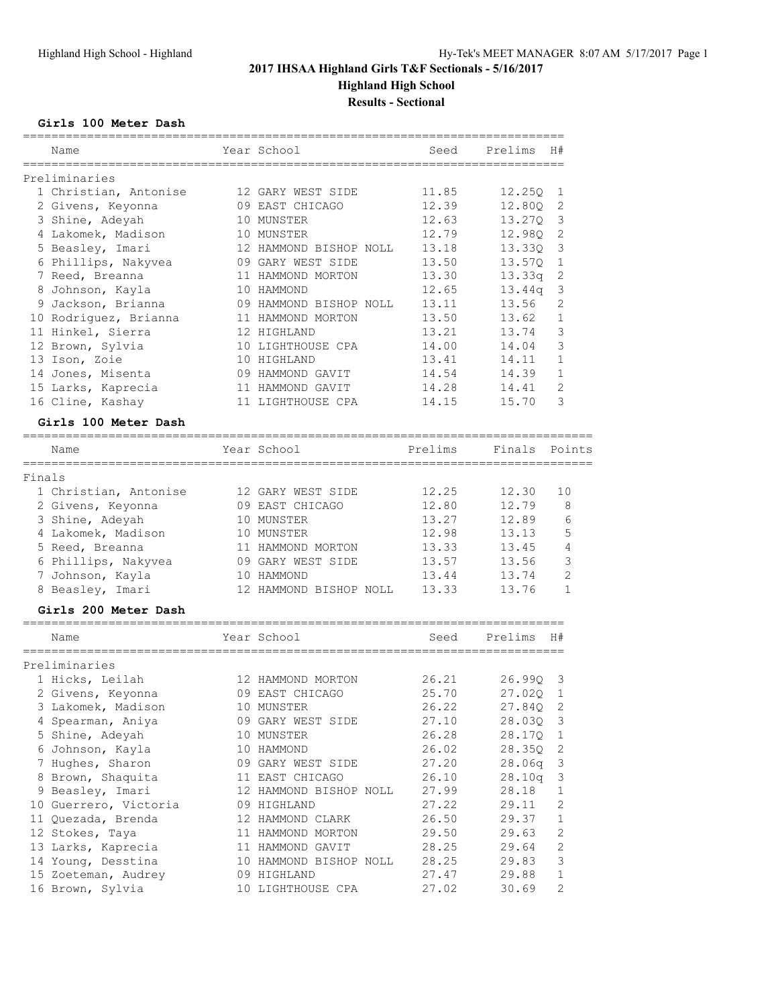============================

### **Girls 100 Meter Dash**

|        | Name<br>=============            | Year School                                | Seed                               | Prelims  | H#                        |
|--------|----------------------------------|--------------------------------------------|------------------------------------|----------|---------------------------|
|        | Preliminaries                    |                                            |                                    |          |                           |
|        | 1 Christian, Antonise            | 12 GARY WEST SIDE                          | 11.85                              | 12.25Q   | 1                         |
|        | 2 Givens, Keyonna                | 09 EAST CHICAGO                            | 12.39                              | 12.80Q   | 2                         |
|        | 3 Shine, Adeyah                  | 10 MUNSTER                                 | 12.63                              | 13.27Q   | 3                         |
|        | 4 Lakomek, Madison               | 10 MUNSTER                                 | 12.79                              | 12.98Q   | 2                         |
|        | 5 Beasley, Imari                 | 12 HAMMOND BISHOP NOLL                     | 13.18                              | 13.330   | 3                         |
|        | 6 Phillips, Nakyvea              | 09 GARY WEST SIDE                          | 13.50                              | 13.57Q   | 1                         |
|        | 7 Reed, Breanna                  | 11 HAMMOND MORTON                          | 13.30                              | 13.33q   | $\sqrt{2}$                |
|        | 8 Johnson, Kayla                 | 10 HAMMOND                                 | 12.65                              | 13.44q   | $\mathsf 3$               |
|        | 9 Jackson, Brianna               | 09 HAMMOND BISHOP NOLL                     | 13.11                              | 13.56    | 2                         |
|        | 10 Rodriguez, Brianna            | 11 HAMMOND MORTON                          | 13.50                              | 13.62    | $\mathbf{1}$              |
|        | 11 Hinkel, Sierra                | 12 HIGHLAND                                | 13.21                              | 13.74    | 3                         |
|        | 12 Brown, Sylvia                 | 10 LIGHTHOUSE CPA                          | 14.00                              | 14.04    | 3                         |
|        | 13 Ison, Zoie                    | 10 HIGHLAND                                | 13.41                              | 14.11    | $\mathbf{1}$              |
|        | 14 Jones, Misenta                | 09 HAMMOND GAVIT                           | 14.54                              | 14.39    | $\mathbf{1}$              |
|        | 15 Larks, Kaprecia               | 11 HAMMOND GAVIT                           | 14.28                              | 14.41    | 2                         |
|        | 16 Cline, Kashay                 | 11 LIGHTHOUSE CPA                          | 14.15                              | 15.70    | 3                         |
|        | Girls 100 Meter Dash             |                                            |                                    |          |                           |
|        |                                  |                                            |                                    |          |                           |
|        | Name                             | Year School                                | Prelims                            | Finals   | Points                    |
| Finals |                                  |                                            |                                    |          |                           |
|        | 1 Christian, Antonise            | 12 GARY WEST SIDE                          | 12.25                              | 12.30    | 10                        |
|        | 2 Givens, Keyonna                | 09 EAST CHICAGO                            | 12.80                              | 12.79    | 8                         |
|        | 3 Shine, Adeyah                  | 10 MUNSTER                                 | 13.27                              | 12.89    | 6                         |
|        | 4 Lakomek, Madison               | 10 MUNSTER                                 | 12.98                              | 13.13    | 5                         |
|        | 5 Reed, Breanna                  | 11 HAMMOND MORTON                          | 13.33                              | 13.45    | 4                         |
|        | 6 Phillips, Nakyvea              | 09 GARY WEST SIDE                          | 13.57                              | 13.56    | 3                         |
|        | 7 Johnson, Kayla                 | 10 HAMMOND                                 | 13.44                              | 13.74    | 2                         |
|        | 8 Beasley, Imari                 | 12 HAMMOND BISHOP NOLL                     | 13.33                              | 13.76    | $\mathbf{1}$              |
|        | Girls 200 Meter Dash             |                                            |                                    |          |                           |
|        | ----------------------------     |                                            |                                    |          |                           |
|        | Name<br>======================== | Year School<br>=========================== | Seed<br>========================== | Prelims  | H#                        |
|        | Preliminaries                    |                                            |                                    |          |                           |
|        | 1 Hicks, Leilah                  | 12 HAMMOND MORTON                          | 26.21                              | 26.99Q   | 3                         |
|        | 2 Givens, Keyonna                | 09 EAST CHICAGO                            | 25.70                              | 27.020   | $\mathbf 1$               |
|        | 3 Lakomek, Madison               | 10 MUNSTER                                 | 26.22                              | 27.84Q 2 |                           |
|        | 4 Spearman, Aniya                | 09 GARY WEST SIDE                          | 27.10                              | 28.03Q   | $\overline{\mathbf{3}}$   |
|        | 5 Shine, Adeyah                  | 10 MUNSTER                                 | 26.28                              | 28.17Q   | 1                         |
|        | 6 Johnson, Kayla                 | 10 HAMMOND                                 | 26.02                              | 28.35Q   | 2                         |
|        | 7 Hughes, Sharon                 | 09 GARY WEST SIDE                          | 27.20                              | 28.06q   | 3                         |
|        | 8 Brown, Shaquita                | 11 EAST CHICAGO                            | 26.10                              | 28.10q   | $\ensuremath{\mathsf{3}}$ |
|        | 9 Beasley, Imari                 | 12 HAMMOND BISHOP NOLL                     | 27.99                              | 28.18    | 1                         |
|        | 10 Guerrero, Victoria            | 09 HIGHLAND<br>27.22                       |                                    | 29.11    | $\mathbf{2}$              |
|        | 11 Quezada, Brenda               | 12 HAMMOND CLARK                           | 26.50                              | 29.37    | $\mathbf 1$               |
|        | 12 Stokes, Taya                  | 11 HAMMOND MORTON                          | 29.50                              | 29.63    | 2                         |
|        | 13 Larks, Kaprecia               | 11 HAMMOND GAVIT                           | 28.25                              | 29.64    | $\mathbf{2}$              |
|        | 14 Young, Desstina               | 10 HAMMOND BISHOP NOLL                     | 28.25                              | 29.83    | 3                         |
|        | 15 Zoeteman, Audrey              | 09 HIGHLAND                                | 27.47                              | 29.88    | 1                         |

 <sup>16</sup> Brown, Sylvia 10 LIGHTHOUSE CPA 27.02 30.69 2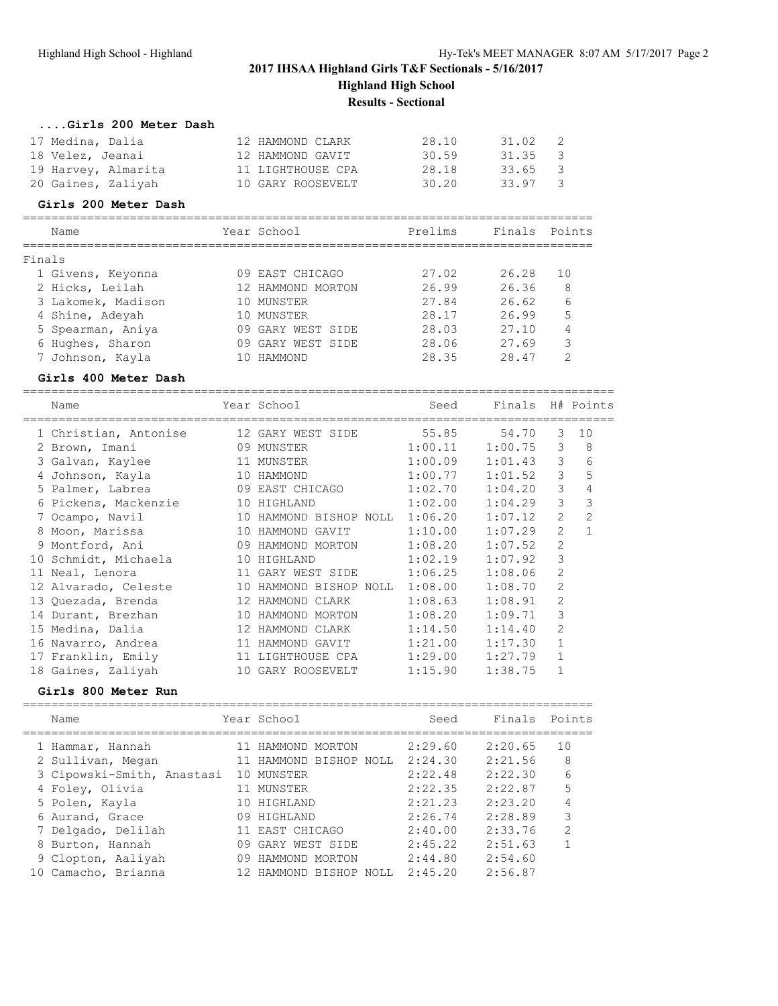| Girls 200 Meter Dash |                   |       |         |                |
|----------------------|-------------------|-------|---------|----------------|
| 17 Medina, Dalia     | 12 HAMMOND CLARK  | 28.10 | 31.02   | $\overline{2}$ |
| 18 Velez, Jeanai     | 12 HAMMOND GAVIT  | 30.59 | 31.35 3 |                |
| 19 Harvey, Almarita  | 11 LIGHTHOUSE CPA | 28.18 | 33.65   | - 3            |
| 20 Gaines, Zaliyah   | 10 GARY ROOSEVELT | 30.20 | 33.97   | $\mathcal{R}$  |

#### **Girls 200 Meter Dash**

| Name               |  | Prelims                                                                                                                              | Finals | Points        |
|--------------------|--|--------------------------------------------------------------------------------------------------------------------------------------|--------|---------------|
| Finals             |  |                                                                                                                                      |        |               |
| 1 Givens, Keyonna  |  | 27.02                                                                                                                                | 26.28  | 10            |
| 2 Hicks, Leilah    |  | 26.99                                                                                                                                | 26.36  | -8            |
| 3 Lakomek, Madison |  | 27.84                                                                                                                                | 26.62  | 6             |
| 4 Shine, Adeyah    |  | 28.17                                                                                                                                | 26.99  | 5             |
| 5 Spearman, Aniya  |  | 28.03                                                                                                                                | 27.10  | 4             |
| 6 Hughes, Sharon   |  | 28.06                                                                                                                                | 27.69  | 3             |
| 7 Johnson, Kayla   |  | 28.35                                                                                                                                | 28.47  | $\mathcal{D}$ |
|                    |  | Year School<br>09 EAST CHICAGO<br>12 HAMMOND MORTON<br>10 MUNSTER<br>10 MUNSTER<br>09 GARY WEST SIDE<br>09 GARY WEST SIDE<br>HAMMOND |        |               |

#### **Girls 400 Meter Dash**

=================================================================================== Name The Sear School Seed Finals H# Points =================================================================================== 1 Christian, Antonise 12 GARY WEST SIDE 55.85 54.70 3 10 2 Brown, Imani 09 MUNSTER 1:00.11 1:00.75 3 8 3 Galvan, Kaylee 11 MUNSTER 1:00.09 1:01.43 3 6 4 Johnson, Kayla 10 HAMMOND 1:00.77 1:01.52 3 5 5 Palmer, Labrea 09 EAST CHICAGO 1:02.70 1:04.20 3 4 6 Pickens, Mackenzie 10 HIGHLAND 1:02.00 1:04.29 3 3 7 Ocampo, Navil 10 HAMMOND BISHOP NOLL 1:06.20 1:07.12 2 2 8 Moon, Marissa 10 HAMMOND GAVIT 1:10.00 1:07.29 2 1 9 Montford, Ani 09 HAMMOND MORTON 1:08.20 1:07.52 2 10 Schmidt, Michaela 10 HIGHLAND 1:02.19 1:07.92 3 11 Neal, Lenora 11 GARY WEST SIDE 1:06.25 1:08.06 2 12 Alvarado, Celeste 10 HAMMOND BISHOP NOLL 1:08.00 1:08.70 2 13 Quezada, Brenda 12 HAMMOND CLARK 1:08.63 1:08.91 2 14 Durant, Brezhan 10 HAMMOND MORTON 1:08.20 1:09.71 3 15 Medina, Dalia 12 HAMMOND CLARK 1:14.50 1:14.40 2 16 Navarro, Andrea 11 HAMMOND GAVIT 1:21.00 1:17.30 1 17 Franklin, Emily 11 LIGHTHOUSE CPA 1:29.00 1:27.79 1 18 Gaines, Zaliyah 10 GARY ROOSEVELT 1:15.90 1:38.75 1

#### **Girls 800 Meter Run**

|    | Name                       |    | Year School            | Seed    | Finals  | Points         |
|----|----------------------------|----|------------------------|---------|---------|----------------|
|    | 1 Hammar, Hannah           |    | 11 HAMMOND MORTON      | 2:29.60 | 2:20.65 | 10             |
|    | 2 Sullivan, Megan          |    | 11 HAMMOND BISHOP NOLL | 2:24.30 | 2:21.56 | 8              |
|    | 3 Cipowski-Smith, Anastasi |    | 10 MUNSTER             | 2:22.48 | 2:22.30 | 6              |
|    | 4 Foley, Olivia            |    | 11 MUNSTER             | 2:22.35 | 2:22.87 | 5              |
|    | 5 Polen, Kayla             |    | 10 HIGHLAND            | 2:21.23 | 2:23.20 | 4              |
|    | 6 Aurand, Grace            | 09 | HIGHLAND               | 2:26.74 | 2:28.89 | 3              |
|    | 7 Delgado, Delilah         |    | 11 EAST CHICAGO        | 2:40.00 | 2:33.76 | $\mathfrak{D}$ |
|    | 8 Burton, Hannah           |    | 09 GARY WEST SIDE      | 2:45.22 | 2:51.63 |                |
|    | 9 Clopton, Aaliyah         |    | 09 HAMMOND MORTON      | 2:44.80 | 2:54.60 |                |
| 10 | Camacho, Brianna           |    | 12 HAMMOND BISHOP NOLL | 2:45.20 | 2:56.87 |                |
|    |                            |    |                        |         |         |                |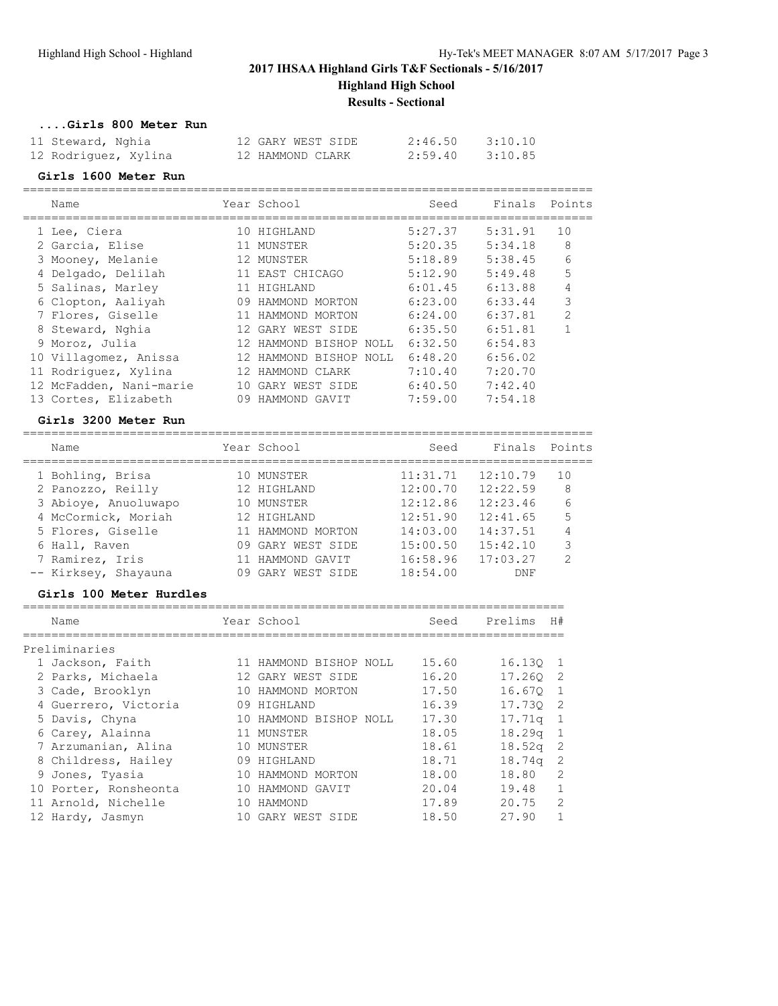## **....Girls 800 Meter Run**

| 11 Steward, Nghia    | 12 GARY WEST SIDE | 2:46.50 | 3:10.10 |
|----------------------|-------------------|---------|---------|
| 12 Rodriguez, Xylina | 12 HAMMOND CLARK  | 2:59.40 | 3:10.85 |

## **Girls 1600 Meter Run**

| Name                    |     | Year School            | Seed    | Finals  | Points         |
|-------------------------|-----|------------------------|---------|---------|----------------|
| 1 Lee, Ciera            | 10  | HIGHLAND               | 5:27.37 | 5:31.91 | 10             |
| 2 Garcia, Elise         |     | MUNSTER                | 5:20.35 | 5:34.18 | 8              |
| 3 Mooney, Melanie       | 12. | MUNSTER                | 5:18.89 | 5:38.45 | 6              |
| Delgado, Delilah        |     | 11 EAST CHICAGO        | 5:12.90 | 5:49.48 | 5              |
| 5 Salinas, Marley       |     | HIGHLAND               | 6:01.45 | 6:13.88 | 4              |
| 6 Clopton, Aaliyah      | 09  | HAMMOND MORTON         | 6:23.00 | 6:33.44 | 3              |
| 7 Flores, Giselle       |     | HAMMOND MORTON         | 6:24.00 | 6:37.81 | $\mathfrak{D}$ |
| 8 Steward, Nghia        |     | 12 GARY WEST SIDE      | 6:35.50 | 6:51.81 |                |
| 9 Moroz, Julia          |     | 12 HAMMOND BISHOP NOLL | 6:32.50 | 6:54.83 |                |
| 10 Villagomez, Anissa   |     | 12 HAMMOND BISHOP NOLL | 6:48.20 | 6:56.02 |                |
| 11 Rodriguez, Xylina    | 12  | HAMMOND CLARK          | 7:10.40 | 7:20.70 |                |
| 12 McFadden, Nani-marie |     | 10 GARY WEST SIDE      | 6:40.50 | 7:42.40 |                |
| 13 Cortes, Elizabeth    | 09  | HAMMOND<br>GAVIT       | 7:59.00 | 7:54.18 |                |

================================================================================

## **Girls 3200 Meter Run**

| Name                 | Year School       | Seed     | Finals   | Points         |
|----------------------|-------------------|----------|----------|----------------|
| 1 Bohling, Brisa     | 10 MUNSTER        | 11:31.71 | 12:10.79 | 10             |
| 2 Panozzo, Reilly    | 12 HIGHLAND       | 12:00.70 | 12:22.59 | 8              |
| 3 Abioye, Anuoluwapo | 10 MUNSTER        | 12:12.86 | 12:23.46 | 6              |
| 4 McCormick, Moriah  | 12 HIGHLAND       | 12:51.90 | 12:41.65 | 5              |
| 5 Flores, Giselle    | 11 HAMMOND MORTON | 14:03.00 | 14:37.51 | 4              |
| 6 Hall, Raven        | 09 GARY WEST SIDE | 15:00.50 | 15:42.10 | 3              |
| 7 Ramirez, Iris      | HAMMOND GAVIT     | 16:58.96 | 17:03.27 | $\mathfrak{D}$ |
| -- Kirksey, Shayauna | GARY WEST SIDE    | 18:54.00 | DNF      |                |
|                      |                   |          |          |                |

## **Girls 100 Meter Hurdles**

| Name                  |    | Year School            | Seed  | Prelims<br>H#            |
|-----------------------|----|------------------------|-------|--------------------------|
| Preliminaries         |    |                        |       |                          |
| 1 Jackson, Faith      |    | 11 HAMMOND BISHOP NOLL | 15.60 | 16.130<br>-1             |
| 2 Parks, Michaela     |    | 12 GARY WEST SIDE      | 16.20 | 17.260<br>-2             |
| 3 Cade, Brooklyn      |    | 10 HAMMOND MORTON      | 17.50 | 16.670<br>$\overline{1}$ |
| 4 Guerrero, Victoria  |    | 09 HIGHLAND            | 16.39 | 17.730<br>-2             |
| 5 Davis, Chyna        |    | 10 HAMMOND BISHOP NOLL | 17.30 | 17.71g<br>- 1            |
| 6 Carey, Alainna      |    | 11 MUNSTER             | 18.05 | 18.29 <sub>q</sub><br>1  |
| 7 Arzumanian, Alina   |    | 10 MUNSTER             | 18.61 | 18.52 <sub>q</sub><br>-2 |
| 8 Childress, Hailey   |    | 09 HIGHLAND            | 18.71 | 18.74g<br>-2             |
| 9 Jones, Tyasia       | 10 | HAMMOND MORTON         | 18.00 | $\mathcal{L}$<br>18.80   |
| 10 Porter, Ronsheonta | 10 | HAMMOND GAVIT          | 20.04 | 1<br>19.48               |
| 11 Arnold, Nichelle   | 10 | HAMMOND                | 17.89 | 2<br>20.75               |
| 12 Hardy, Jasmyn      |    | GARY WEST SIDE         | 18.50 | 27.90                    |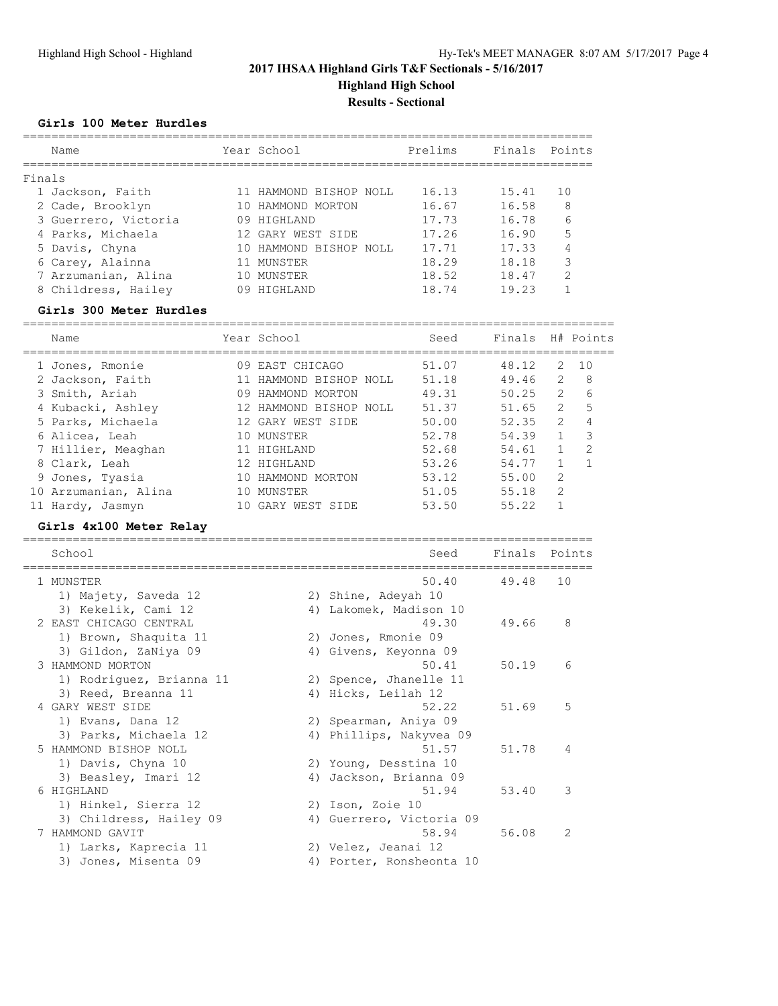# **Girls 100 Meter Hurdles**

| Name                 |    | Year School         | Prelims | Finals Points |     |
|----------------------|----|---------------------|---------|---------------|-----|
| Finals               |    |                     |         |               |     |
| 1 Jackson, Faith     |    | HAMMOND BISHOP NOLL | 16.13   | 15.41         | 1 O |
| 2 Cade, Brooklyn     |    | HAMMOND MORTON      | 16.67   | 16.58         | 8   |
| 3 Guerrero, Victoria | 09 | HIGHLAND            | 17.73   | 16.78         | 6   |
| 4 Parks, Michaela    |    | 12 GARY WEST SIDE   | 17.26   | 16.90         | 5   |
| 5 Davis, Chyna       |    | HAMMOND BISHOP NOLL | 17.71   | 17.33         |     |
| 6 Carey, Alainna     |    | MUNSTER             | 18.29   | 18.18         | 3   |
| 7 Arzumanian, Alina  |    | MUNSTER             | 18.52   | 18.47         | っ   |
| 8 Childress, Hailey  |    | HTGHLAND            | 18.74   | 19.23         |     |

## **Girls 300 Meter Hurdles**

| Name                 |     | Year School            | Seed  | Finals |                       | H# Points     |
|----------------------|-----|------------------------|-------|--------|-----------------------|---------------|
| 1 Jones, Rmonie      | 09. | EAST CHICAGO           | 51.07 | 48.12  | 2                     | 1 O           |
| 2 Jackson, Faith     |     | HAMMOND BISHOP NOLL    | 51.18 | 49.46  | $\mathcal{L}$         | 8             |
| 3 Smith, Ariah       | 09  | HAMMOND MORTON         | 49.31 | 50.25  | $\mathbf{2}^{\prime}$ | 6             |
| 4 Kubacki, Ashley    |     | 12 HAMMOND BISHOP NOLL | 51.37 | 51.65  | $\mathbf{2}^{\prime}$ | 5             |
| 5 Parks, Michaela    |     | 12 GARY WEST SIDE      | 50.00 | 52.35  | $\mathcal{L}$         |               |
| 6 Alicea, Leah       | 10  | MUNSTER                | 52.78 | 54.39  |                       | 3             |
| 7 Hillier, Meaghan   |     | HIGHLAND               | 52.68 | 54.61  |                       | $\mathcal{P}$ |
| 8 Clark, Leah        |     | 12 HIGHLAND            | 53.26 | 54.77  |                       |               |
| 9 Jones, Tyasia      | 10  | HAMMOND MORTON         | 53.12 | 55.00  | 2                     |               |
| 10 Arzumanian, Alina | 10  | MUNSTER                | 51.05 | 55.18  | $\overline{2}$        |               |
| Hardy, Jasmyn        |     | GARY WEST SIDE         | 53.50 | 55.22  |                       |               |

### **Girls 4x100 Meter Relay**

| School                   |    | Seed                     | Finals | Points        |
|--------------------------|----|--------------------------|--------|---------------|
| 1 MUNSTER                |    | 50.40                    | 49.48  | 10            |
| 1) Majety, Saveda 12     |    | 2) Shine, Adeyah 10      |        |               |
| 3) Kekelik, Cami 12      | 4) | Lakomek, Madison 10      |        |               |
| 2 EAST CHICAGO CENTRAL   |    | 49.30                    | 49.66  | 8             |
| 1) Brown, Shaquita 11    |    | 2) Jones, Rmonie 09      |        |               |
| 3) Gildon, ZaNiya 09     | 4) | Givens, Keyonna 09       |        |               |
| 3 HAMMOND MORTON         |    | 50.41                    | 50.19  | 6             |
| 1) Rodriguez, Brianna 11 |    | 2) Spence, Jhanelle 11   |        |               |
| 3) Reed, Breanna 11      | 4) | Hicks, Leilah 12         |        |               |
| 4 GARY WEST SIDE         |    | 52.22                    | 51.69  | 5             |
| 1) Evans, Dana 12        |    | 2) Spearman, Aniya 09    |        |               |
| 3) Parks, Michaela 12    |    | 4) Phillips, Nakyvea 09  |        |               |
| 5 HAMMOND BISHOP NOLL    |    | 51.57                    | 51.78  | 4             |
| 1) Davis, Chyna 10       |    | 2) Young, Desstina 10    |        |               |
| 3) Beasley, Imari 12     | 4) | Jackson, Brianna 09      |        |               |
| 6 HIGHLAND               |    | 51.94                    | 53.40  | 3             |
| 1) Hinkel, Sierra 12     |    | 2) Ison, Zoie 10         |        |               |
| 3) Childress, Hailey 09  | 4) | Guerrero, Victoria 09    |        |               |
| 7 HAMMOND GAVIT          |    | 58.94                    | 56.08  | $\mathcal{L}$ |
| 1) Larks, Kaprecia 11    |    | 2) Velez, Jeanai 12      |        |               |
| 3) Jones, Misenta 09     |    | 4) Porter, Ronsheonta 10 |        |               |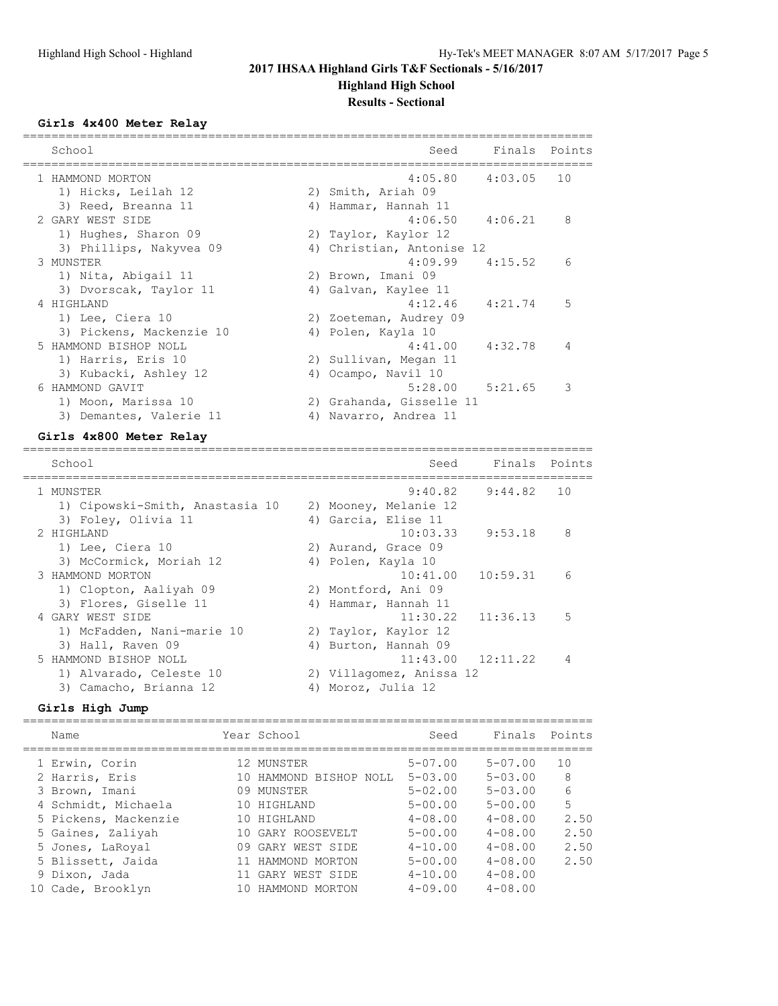## **Girls 4x400 Meter Relay**

| School                   |    | Seed                      | Finals Points |    |
|--------------------------|----|---------------------------|---------------|----|
| 1 HAMMOND MORTON         |    | $4:05.80$ $4:03.05$       |               | 10 |
| 1) Hicks, Leilah 12      |    | 2) Smith, Ariah 09        |               |    |
| 3) Reed, Breanna 11      |    | 4) Hammar, Hannah 11      |               |    |
| 2 GARY WEST SIDE         |    | $4:06.50$ $4:06.21$       |               | 8  |
| 1) Hughes, Sharon 09     |    | 2) Taylor, Kaylor 12      |               |    |
| 3) Phillips, Nakyvea 09  |    | 4) Christian, Antonise 12 |               |    |
| 3 MUNSTER                |    | $4:09.99$ $4:15.52$       |               | 6  |
| 1) Nita, Abigail 11      |    | 2) Brown, Imani 09        |               |    |
| 3) Dvorscak, Taylor 11   |    | 4) Galvan, Kaylee 11      |               |    |
| 4 HIGHLAND               |    | 4:12.46                   | 4:21.74       | 5  |
| 1) Lee, Ciera 10         |    | 2) Zoeteman, Audrey 09    |               |    |
| 3) Pickens, Mackenzie 10 |    | 4) Polen, Kayla 10        |               |    |
| 5 HAMMOND BISHOP NOLL    |    | 4:41.00                   | 4:32.78       | 4  |
| 1) Harris, Eris 10       |    | 2) Sullivan, Megan 11     |               |    |
| 3) Kubacki, Ashley 12    |    | 4) Ocampo, Navil 10       |               |    |
| 6 HAMMOND GAVIT          |    | $5:28.00$ $5:21.65$       |               | 3  |
| 1) Moon, Marissa 10      |    | 2) Grahanda, Gisselle 11  |               |    |
| 3) Demantes, Valerie 11  | 4) | Navarro, Andrea 11        |               |    |

## **Girls 4x800 Meter Relay**

| School                          |    | Seed                     | Finals Points         |                |
|---------------------------------|----|--------------------------|-----------------------|----------------|
| 1 MUNSTER                       |    | 9:40.82                  | 9:44.82               | 1 O            |
| 1) Cipowski-Smith, Anastasia 10 |    | 2) Mooney, Melanie 12    |                       |                |
| 3) Foley, Olivia 11             |    | 4) Garcia, Elise 11      |                       |                |
| 2 HIGHLAND                      |    | 10:03.33                 | 9:53.18               | 8              |
| 1) Lee, Ciera 10                |    | 2) Aurand, Grace 09      |                       |                |
| 3) McCormick, Moriah 12         |    | 4) Polen, Kayla 10       |                       |                |
| 3 HAMMOND MORTON                |    | 10:41.00                 | 10:59.31              | 6              |
| 1) Clopton, Aaliyah 09          |    | 2) Montford, Ani 09      |                       |                |
| 3) Flores, Giselle 11           | 4) | Hammar, Hannah 11        |                       |                |
| 4 GARY WEST SIDE                |    |                          | $11:30.22$ $11:36.13$ | 5              |
| 1) McFadden, Nani-marie 10      |    | 2) Taylor, Kaylor 12     |                       |                |
| 3) Hall, Raven 09               | 4) | Burton, Hannah 09        |                       |                |
| 5 HAMMOND BISHOP NOLL           |    |                          | $11:43.00$ $12:11.22$ | $\overline{4}$ |
| 1) Alvarado, Celeste 10         |    | 2) Villagomez, Anissa 12 |                       |                |
| 3) Camacho, Brianna 12          | 4) | Moroz, Julia 12          |                       |                |

## **Girls High Jump**

|    | Name                 | Year School            | Seed           | Finals Points  |      |
|----|----------------------|------------------------|----------------|----------------|------|
|    | 1 Erwin, Corin       | 12 MUNSTER             | $5 - 07.00$    | $5 - 07.00$    | 10   |
|    | 2 Harris, Eris       | 10 HAMMOND BISHOP NOLL | $5 - 0.3$ , 00 | $5 - 0.3$ , 00 | 8    |
|    | 3 Brown, Imani       | 09 MUNSTER             | $5 - 02.00$    | $5 - 0.3$ , 00 | 6    |
|    | 4 Schmidt, Michaela  | 10 HIGHLAND            | $5 - 00.00$    | $5 - 00.00$    | 5    |
|    | 5 Pickens, Mackenzie | 10 HIGHLAND            | $4 - 08.00$    | $4 - 0.8$ , 00 | 2.50 |
|    | 5 Gaines, Zaliyah    | 10 GARY ROOSEVELT      | $5 - 00.00$    | $4 - 08.00$    | 2.50 |
|    | 5 Jones, LaRoyal     | 09 GARY WEST SIDE      | $4 - 10.00$    | $4 - 0.8$ , 00 | 2.50 |
|    | 5 Blissett, Jaida    | 11 HAMMOND MORTON      | $5 - 00.00$    | $4 - 08.00$    | 2.50 |
|    | 9 Dixon, Jada        | 11 GARY WEST SIDE      | $4 - 10.00$    | $4 - 08.00$    |      |
| 10 | Cade, Brooklyn       | HAMMOND MORTON         | $4 - 09.00$    | $4 - 08.00$    |      |
|    |                      |                        |                |                |      |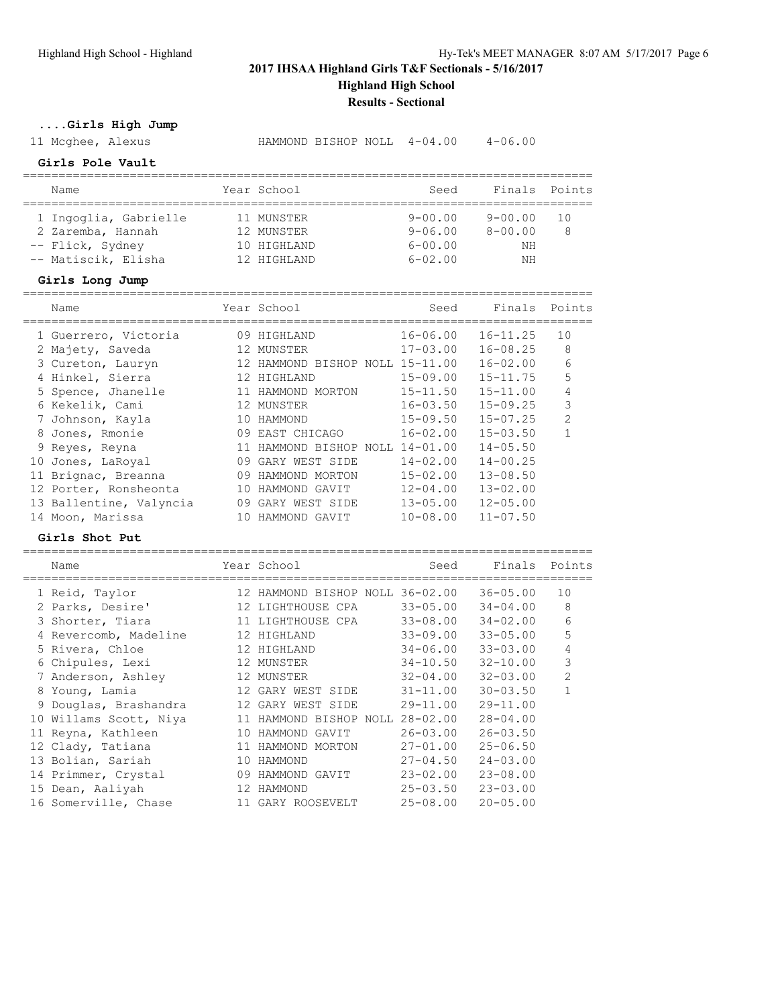**....Girls High Jump**

11 Mcghee, Alexus HAMMOND BISHOP NOLL 4-04.00 4-06.00

# **Girls Pole Vault**

| Name                  |  | Year School | Seed        | Finals Points |    |  |  |  |
|-----------------------|--|-------------|-------------|---------------|----|--|--|--|
|                       |  |             |             |               |    |  |  |  |
| 1 Ingoglia, Gabrielle |  | 11 MUNSTER  | $9 - 00.00$ | $9 - 00.00$   | 10 |  |  |  |
| 2 Zaremba, Hannah     |  | 12 MUNSTER  | $9 - 06.00$ | $8 - 00.00$   | 8  |  |  |  |
| -- Flick, Sydney      |  | 10 HIGHLAND | $6 - 00.00$ | NΗ            |    |  |  |  |
| -- Matiscik, Elisha   |  | 12 HIGHLAND | $6 - 02.00$ | NΗ            |    |  |  |  |

### **Girls Long Jump**

|    | Name                    |    | Year School                     | Seed         | Finals       | Points         |
|----|-------------------------|----|---------------------------------|--------------|--------------|----------------|
|    | 1 Guerrero, Victoria    | 09 | HIGHLAND                        | $16 - 06.00$ | $16 - 11.25$ | 10             |
|    | 2 Majety, Saveda        | 12 | MUNSTER                         | $17 - 03.00$ | $16 - 08.25$ | 8              |
|    | 3 Cureton, Lauryn       |    | 12 HAMMOND BISHOP NOLL 15-11.00 |              | $16 - 02.00$ | 6              |
|    | 4 Hinkel, Sierra        |    | 12 HIGHLAND                     | $15 - 09.00$ | $15 - 11.75$ | 5              |
|    | 5 Spence, Jhanelle      |    | 11 HAMMOND MORTON               | $15 - 11.50$ | $15 - 11.00$ | 4              |
|    | 6 Kekelik, Cami         |    | 12 MUNSTER                      | $16 - 03.50$ | $15 - 09.25$ | 3              |
|    | Johnson, Kayla          |    | 10 HAMMOND                      | $15 - 09.50$ | $15 - 07.25$ | $\mathfrak{D}$ |
| 8  | Jones, Rmonie           |    | 09 EAST CHICAGO                 | $16 - 02.00$ | $15 - 03.50$ |                |
|    | 9 Reyes, Reyna          |    | 11 HAMMOND BISHOP NOLL 14-01.00 |              | $14 - 05.50$ |                |
| 10 | Jones, LaRoyal          |    | 09 GARY WEST SIDE               | $14 - 02.00$ | $14 - 00.25$ |                |
|    | 11 Brignac, Breanna     |    | 09 HAMMOND MORTON               | $15 - 02.00$ | $13 - 08.50$ |                |
|    | 12 Porter, Ronsheonta   |    | 10 HAMMOND GAVIT                | $12 - 04.00$ | $13 - 02.00$ |                |
|    | 13 Ballentine, Valyncia | 09 | GARY WEST SIDE                  | $13 - 05.00$ | $12 - 05.00$ |                |
|    | 14 Moon, Marissa        | 10 | HAMMOND GAVIT                   | $10 - 08.00$ | $11 - 07.50$ |                |

## **Girls Shot Put**

|    | Name                  |    | Year School                     | Seed         | Finals       | Points         |
|----|-----------------------|----|---------------------------------|--------------|--------------|----------------|
|    | 1 Reid, Taylor        |    | 12 HAMMOND BISHOP NOLL 36-02.00 |              | $36 - 05.00$ | 10             |
|    | 2 Parks, Desire'      |    | 12 LIGHTHOUSE CPA               | $33 - 05.00$ | $34 - 04.00$ | 8              |
| 3  | Shorter, Tiara        |    | 11 LIGHTHOUSE CPA               | $33 - 08.00$ | $34 - 02.00$ | 6              |
|    | 4 Revercomb, Madeline |    | 12 HIGHLAND                     | $33 - 09.00$ | $33 - 05.00$ | 5              |
|    | 5 Rivera, Chloe       |    | 12 HIGHLAND                     | $34 - 06.00$ | $33 - 03.00$ | 4              |
|    | 6 Chipules, Lexi      |    | 12 MUNSTER                      | $34 - 10.50$ | $32 - 10.00$ | 3              |
|    | 7 Anderson, Ashley    |    | 12 MUNSTER                      | $32 - 04.00$ | $32 - 03.00$ | $\overline{2}$ |
| 8  | Young, Lamia          |    | 12 GARY WEST SIDE               | $31 - 11.00$ | $30 - 03.50$ | 1              |
| 9  | Douglas, Brashandra   | 12 | GARY WEST SIDE                  | $29 - 11.00$ | $29 - 11.00$ |                |
| 10 | Willams Scott, Niya   | 11 | HAMMOND BISHOP<br>NOLL          | $28 - 02.00$ | $28 - 04.00$ |                |
| 11 | Reyna, Kathleen       | 10 | HAMMOND<br>GAVIT                | $26 - 03.00$ | $26 - 03.50$ |                |
|    | 12 Clady, Tatiana     | 11 | HAMMOND MORTON                  | $27 - 01.00$ | $25 - 06.50$ |                |
|    | 13 Bolian, Sariah     | 10 | HAMMOND                         | $27 - 04.50$ | $24 - 03.00$ |                |
|    | 14 Primmer, Crystal   | 09 | HAMMOND GAVIT                   | $23 - 02.00$ | $23 - 08.00$ |                |
| 15 | Dean, Aaliyah         | 12 | HAMMOND                         | $25 - 03.50$ | $23 - 03.00$ |                |
|    | 16 Somerville, Chase  |    | 11 GARY ROOSEVELT               | $25 - 08.00$ | $20 - 05.00$ |                |
|    |                       |    |                                 |              |              |                |